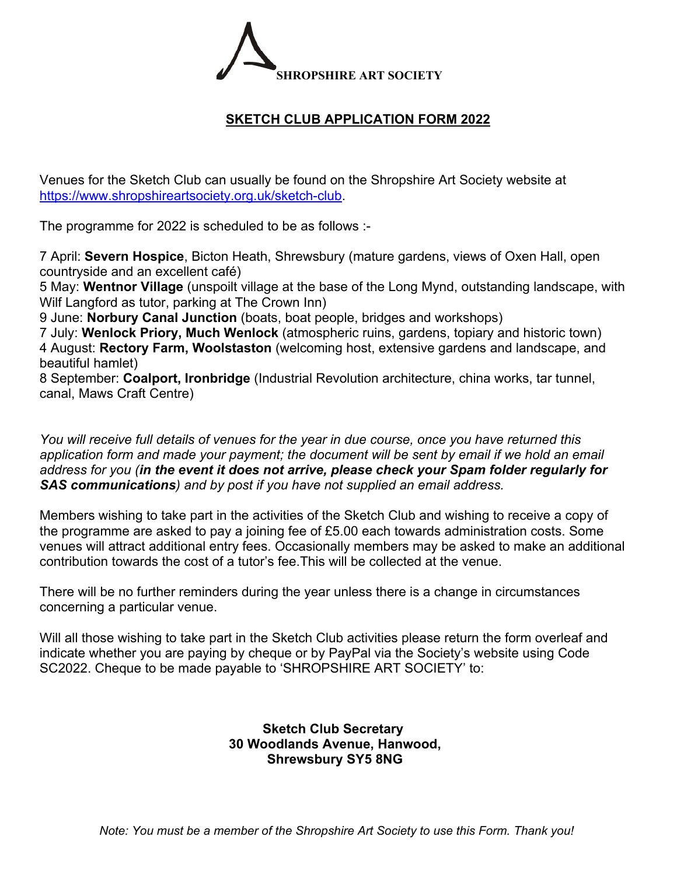

## **SKETCH CLUB APPLICATION FORM 2022**

Venues for the Sketch Club can usually be found on the Shropshire Art Society website at https://www.shropshireartsociety.org.uk/sketch-club.

The programme for 2022 is scheduled to be as follows :-

7 April: **Severn Hospice**, Bicton Heath, Shrewsbury (mature gardens, views of Oxen Hall, open countryside and an excellent café)

5 May: **Wentnor Village** (unspoilt village at the base of the Long Mynd, outstanding landscape, with Wilf Langford as tutor, parking at The Crown Inn)

9 June: **Norbury Canal Junction** (boats, boat people, bridges and workshops)

7 July: **Wenlock Priory, Much Wenlock** (atmospheric ruins, gardens, topiary and historic town) 4 August: **Rectory Farm, Woolstaston** (welcoming host, extensive gardens and landscape, and beautiful hamlet)

8 September: **Coalport, Ironbridge** (Industrial Revolution architecture, china works, tar tunnel, canal, Maws Craft Centre)

*You will receive full details of venues for the year in due course, once you have returned this application form and made your payment; the document will be sent by email if we hold an email address for you (in the event it does not arrive, please check your Spam folder regularly for SAS communications) and by post if you have not supplied an email address.* 

Members wishing to take part in the activities of the Sketch Club and wishing to receive a copy of the programme are asked to pay a joining fee of £5.00 each towards administration costs. Some venues will attract additional entry fees. Occasionally members may be asked to make an additional contribution towards the cost of a tutor's fee.This will be collected at the venue.

There will be no further reminders during the year unless there is a change in circumstances concerning a particular venue.

Will all those wishing to take part in the Sketch Club activities please return the form overleaf and indicate whether you are paying by cheque or by PayPal via the Society's website using Code SC2022. Cheque to be made payable to 'SHROPSHIRE ART SOCIETY' to:

## **Sketch Club Secretary 30 Woodlands Avenue, Hanwood, Shrewsbury SY5 8NG**

*Note: You must be a member of the Shropshire Art Society to use this Form. Thank you!*